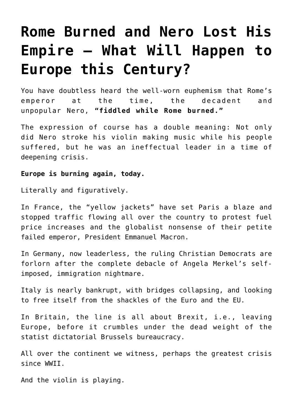## **[Rome Burned and Nero Lost His](https://intellectualtakeout.org/2018/12/rome-burned-and-nero-lost-his-empire-what-will-happen-to-europe-this-century/) [Empire – What Will Happen to](https://intellectualtakeout.org/2018/12/rome-burned-and-nero-lost-his-empire-what-will-happen-to-europe-this-century/) [Europe this Century?](https://intellectualtakeout.org/2018/12/rome-burned-and-nero-lost-his-empire-what-will-happen-to-europe-this-century/)**

You have doubtless heard the well-worn euphemism that Rome's emperor at the time, the decadent and unpopular Nero, **"fiddled while Rome burned."**

The expression of course has a double meaning: Not only did Nero stroke his violin making music while his people suffered, but he was an ineffectual leader in a time of deepening crisis.

## **Europe is burning again, today.**

Literally and figuratively.

In France, the "yellow jackets" have set Paris a blaze and stopped traffic flowing all over the country to protest fuel price increases and the globalist nonsense of their petite failed emperor, President Emmanuel Macron.

In Germany, now leaderless, the ruling Christian Democrats are forlorn after the complete debacle of Angela Merkel's selfimposed, immigration nightmare.

Italy is nearly bankrupt, with bridges collapsing, and looking to free itself from the shackles of the Euro and the EU.

In Britain, the line is all about Brexit, i.e., leaving Europe, before it crumbles under the dead weight of the statist dictatorial Brussels bureaucracy.

All over the continent we witness, perhaps the greatest crisis since WWII.

And the violin is playing.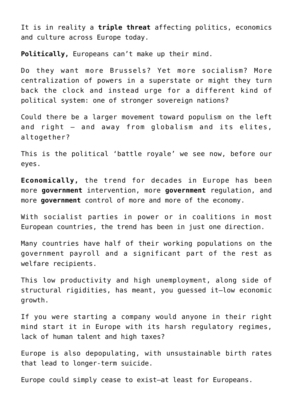It is in reality a **triple threat** affecting politics, economics and culture across Europe today.

**Politically,** Europeans can't make up their mind.

Do they want more Brussels? Yet more socialism? More centralization of powers in a superstate or might they turn back the clock and instead urge for a different kind of political system: one of stronger sovereign nations?

Could there be a larger movement toward populism on the left and right — and away from globalism and its elites, altogether?

This is the political 'battle royale' we see now, before our eyes.

**Economically,** the trend for decades in Europe has been more **government** intervention, more **government** regulation, and more **government** control of more and more of the economy.

With socialist parties in power or in coalitions in most European countries, the trend has been in just one direction.

Many countries have half of their working populations on the government payroll and a significant part of the rest as welfare recipients.

This low productivity and high unemployment, along side of structural rigidities, has meant, you guessed it—low economic growth.

If you were starting a company would anyone in their right mind start it in Europe with its harsh regulatory regimes, lack of human talent and high taxes?

Europe is also depopulating, with unsustainable birth rates that lead to longer-term suicide.

Europe could simply cease to exist—at least for Europeans.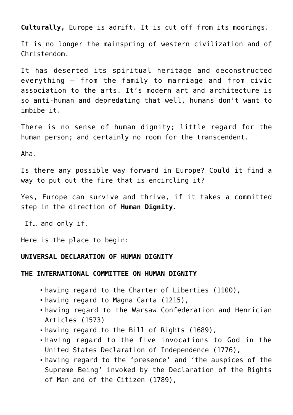**Culturally,** Europe is adrift. It is cut off from its moorings.

It is no longer the mainspring of western civilization and of Christendom.

It has deserted its spiritual heritage and deconstructed everything — from the family to marriage and from civic association to the arts. It's modern art and architecture is so anti-human and depredating that well, humans don't want to imbibe it.

There is no sense of human dignity; little regard for the human person; and certainly no room for the transcendent.

Aha.

Is there any possible way forward in Europe? Could it find a way to put out the fire that is encircling it?

Yes, Europe can survive and thrive, if it takes a committed step in the direction of **Human Dignity.**

If… and only if.

Here is the place to begin:

## **UNIVERSAL DECLARATION OF HUMAN DIGNITY**

## **THE INTERNATIONAL COMMITTEE ON HUMAN DIGNITY**

- having regard to the Charter of Liberties (1100),
- having regard to Magna Carta (1215),
- having regard to the Warsaw Confederation and Henrician Articles (1573)
- having regard to the Bill of Rights (1689),
- having regard to the five invocations to God in the United States Declaration of Independence (1776),
- having regard to the 'presence' and 'the auspices of the Supreme Being' invoked by the Declaration of the Rights of Man and of the Citizen (1789),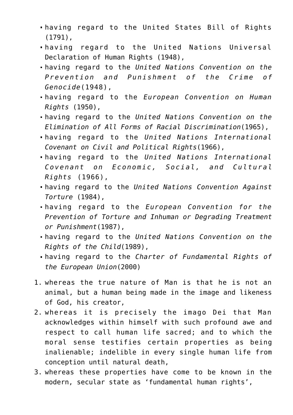- having regard to the United States Bill of Rights (1791),
- having regard to the United Nations Universal Declaration of Human Rights (1948),
- having regard to the *United Nations Convention on the Prevention and Punishment of the Crime of Genocide*(1948),
- having regard to the *European Convention on Human Rights* (1950),
- having regard to the *United Nations Convention on the Elimination of All Forms of Racial Discrimination*(1965),
- having regard to the *United Nations International Covenant on Civil and Political Rights*(1966),
- having regard to the *United Nations International Covenant on Economic, Social, and Cultural Rights* (1966),
- having regard to the *United Nations Convention Against Torture* (1984),
- having regard to the *European Convention for the Prevention of Torture and Inhuman or Degrading Treatment or Punishment*(1987),
- having regard to the *United Nations Convention on the Rights of the Child*(1989),
- having regard to the *Charter of Fundamental Rights of the European Union*(2000)
- 1. whereas the true nature of Man is that he is not an animal, but a human being made in the image and likeness of God, his creator,
- 2. whereas it is precisely the imago Dei that Man acknowledges within himself with such profound awe and respect to call human life sacred; and to which the moral sense testifies certain properties as being inalienable; indelible in every single human life from conception until natural death,
- 3. whereas these properties have come to be known in the modern, secular state as 'fundamental human rights',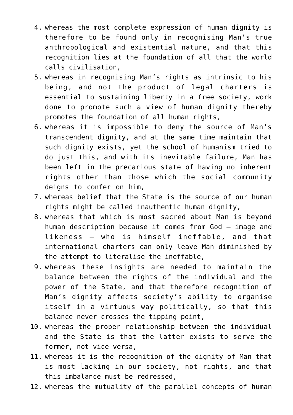- 4. whereas the most complete expression of human dignity is therefore to be found only in recognising Man's true anthropological and existential nature, and that this recognition lies at the foundation of all that the world calls civilisation,
- 5. whereas in recognising Man's rights as intrinsic to his being, and not the product of legal charters is essential to sustaining liberty in a free society, work done to promote such a view of human dignity thereby promotes the foundation of all human rights,
- 6. whereas it is impossible to deny the source of Man's transcendent dignity, and at the same time maintain that such dignity exists, yet the school of humanism tried to do just this, and with its inevitable failure, Man has been left in the precarious state of having no inherent rights other than those which the social community deigns to confer on him,
- 7. whereas belief that the State is the source of our human rights might be called inauthentic human dignity,
- 8. whereas that which is most sacred about Man is beyond human description because it comes from God – image and likeness – who is himself ineffable, and that international charters can only leave Man diminished by the attempt to literalise the ineffable,
- 9. whereas these insights are needed to maintain the balance between the rights of the individual and the power of the State, and that therefore recognition of Man's dignity affects society's ability to organise itself in a virtuous way politically, so that this balance never crosses the tipping point,
- 10. whereas the proper relationship between the individual and the State is that the latter exists to serve the former, not vice versa,
- 11. whereas it is the recognition of the dignity of Man that is most lacking in our society, not rights, and that this imbalance must be redressed,
- 12. whereas the mutuality of the parallel concepts of human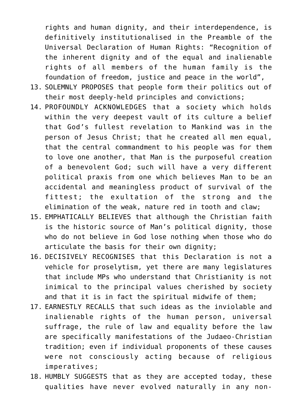rights and human dignity, and their interdependence, is definitively institutionalised in the Preamble of the Universal Declaration of Human Rights: "Recognition of the inherent dignity and of the equal and inalienable rights of all members of the human family is the foundation of freedom, justice and peace in the world",

- 13. SOLEMNLY PROPOSES that people form their politics out of their most deeply-held principles and convictions;
- 14. PROFOUNDLY ACKNOWLEDGES that a society which holds within the very deepest vault of its culture a belief that God's fullest revelation to Mankind was in the person of Jesus Christ; that he created all men equal, that the central commandment to his people was for them to love one another, that Man is the purposeful creation of a benevolent God; such will have a very different political praxis from one which believes Man to be an accidental and meaningless product of survival of the fittest; the exultation of the strong and the elimination of the weak, nature red in tooth and claw;
- 15. EMPHATICALLY BELIEVES that although the Christian faith is the historic source of Man's political dignity, those who do not believe in God lose nothing when those who do articulate the basis for their own dignity;
- 16. DECISIVELY RECOGNISES that this Declaration is not a vehicle for proselytism, yet there are many legislatures that include MPs who understand that Christianity is not inimical to the principal values cherished by society and that it is in fact the spiritual midwife of them;
- 17. EARNESTLY RECALLS that such ideas as the inviolable and inalienable rights of the human person, universal suffrage, the rule of law and equality before the law are specifically manifestations of the Judaeo-Christian tradition; even if individual proponents of these causes were not consciously acting because of religious imperatives;
- 18. HUMBLY SUGGESTS that as they are accepted today, these qualities have never evolved naturally in any non-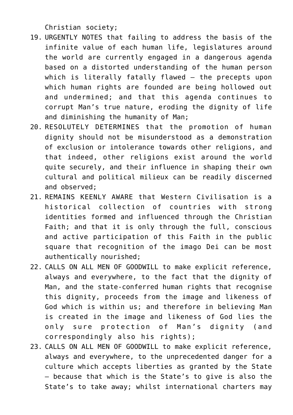Christian society;

- 19. URGENTLY NOTES that failing to address the basis of the infinite value of each human life, legislatures around the world are currently engaged in a dangerous agenda based on a distorted understanding of the human person which is literally fatally flawed – the precepts upon which human rights are founded are being hollowed out and undermined; and that this agenda continues to corrupt Man's true nature, eroding the dignity of life and diminishing the humanity of Man;
- 20. RESOLUTELY DETERMINES that the promotion of human dignity should not be misunderstood as a demonstration of exclusion or intolerance towards other religions, and that indeed, other religions exist around the world quite securely, and their influence in shaping their own cultural and political milieux can be readily discerned and observed;
- 21. REMAINS KEENLY AWARE that Western Civilisation is a historical collection of countries with strong identities formed and influenced through the Christian Faith; and that it is only through the full, conscious and active participation of this Faith in the public square that recognition of the imago Dei can be most authentically nourished;
- 22. CALLS ON ALL MEN OF GOODWILL to make explicit reference, always and everywhere, to the fact that the dignity of Man, and the state-conferred human rights that recognise this dignity, proceeds from the image and likeness of God which is within us; and therefore in believing Man is created in the image and likeness of God lies the only sure protection of Man's dignity (and correspondingly also his rights);
- 23. CALLS ON ALL MEN OF GOODWILL to make explicit reference, always and everywhere, to the unprecedented danger for a culture which accepts liberties as granted by the State – because that which is the State's to give is also the State's to take away; whilst international charters may